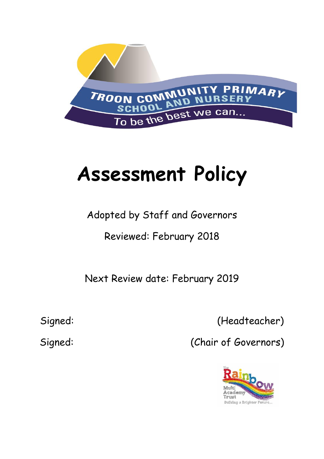

# **Assessment Policy**

# Adopted by Staff and Governors

# Reviewed: February 2018

Next Review date: February 2019

Signed: (Headteacher)

Signed: (Chair of Governors)

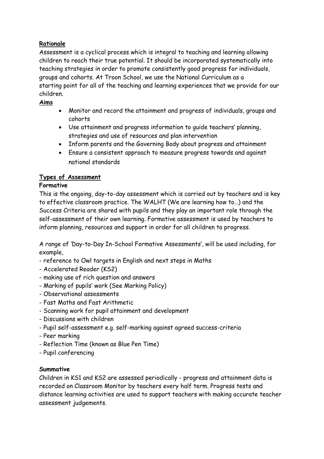# **Rationale**

Assessment is a cyclical process which is integral to teaching and learning allowing children to reach their true potential. It should be incorporated systematically into teaching strategies in order to promote consistently good progress for individuals, groups and cohorts. At Troon School, we use the National Curriculum as a starting point for all of the teaching and learning experiences that we provide for our children.

# **Aims**

- Monitor and record the attainment and progress of individuals, groups and cohorts
- Use attainment and progress information to guide teachers' planning, strategies and use of resources and plan intervention
- Inform parents and the Governing Body about progress and attainment
- Ensure a consistent approach to measure progress towards and against national standards

# **Types of Assessment**

# **Formative**

This is the ongoing, day-to-day assessment which is carried out by teachers and is key to effective classroom practice. The WALHT (We are learning how to…) and the Success Criteria are shared with pupils and they play an important role through the self-assessment of their own learning. Formative assessment is used by teachers to inform planning, resources and support in order for all children to progress.

A range of 'Day-to-Day In-School Formative Assessments', will be used including, for example,

- reference to Owl targets in English and next steps in Maths
- Accelerated Reader (KS2)
- making use of rich question and answers
- Marking of pupils' work (See Marking Policy)
- Observational assessments
- Fast Maths and Fast Arithmetic
- Scanning work for pupil attainment and development
- Discussions with children
- Pupil self-assessment e.g. self-marking against agreed success-criteria
- Peer marking
- Reflection Time (known as Blue Pen Time)
- Pupil conferencing

#### **Summative**

Children in KS1 and KS2 are assessed periodically - progress and attainment data is recorded on Classroom Monitor by teachers every half term. Progress tests and distance learning activities are used to support teachers with making accurate teacher assessment judgements.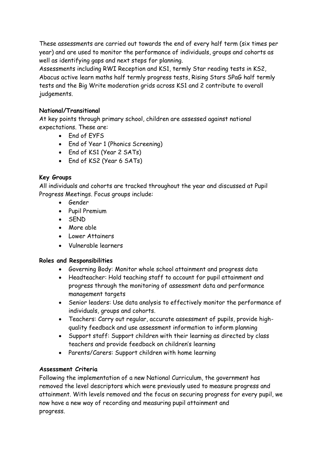These assessments are carried out towards the end of every half term (six times per year) and are used to monitor the performance of individuals, groups and cohorts as well as identifying gaps and next steps for planning.

Assessments including RWI Reception and KS1, termly Star reading tests in KS2, Abacus active learn maths half termly progress tests, Rising Stars SPaG half termly tests and the Big Write moderation grids across KS1 and 2 contribute to overall judgements.

## **National/Transitional**

At key points through primary school, children are assessed against national expectations. These are:

- End of EYFS
- End of Year 1 (Phonics Screening)
- End of KS1 (Year 2 SATs)
- End of KS2 (Year 6 SATs)

#### **Key Groups**

All individuals and cohorts are tracked throughout the year and discussed at Pupil Progress Meetings. Focus groups include:

- Gender
- Pupil Premium
- SEND
- More able
- Lower Attainers
- Vulnerable learners

#### **Roles and Responsibilities**

- Governing Body: Monitor whole school attainment and progress data
- Headteacher: Hold teaching staff to account for pupil attainment and progress through the monitoring of assessment data and performance management targets
- Senior leaders: Use data analysis to effectively monitor the performance of individuals, groups and cohorts.
- Teachers: Carry out regular, accurate assessment of pupils, provide highquality feedback and use assessment information to inform planning
- Support staff: Support children with their learning as directed by class teachers and provide feedback on children's learning
- Parents/Carers: Support children with home learning

## **Assessment Criteria**

Following the implementation of a new National Curriculum, the government has removed the level descriptors which were previously used to measure progress and attainment. With levels removed and the focus on securing progress for every pupil, we now have a new way of recording and measuring pupil attainment and progress.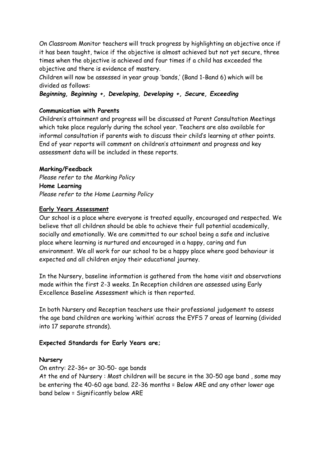On Classroom Monitor teachers will track progress by highlighting an objective once if it has been taught, twice if the objective is almost achieved but not yet secure, three times when the objective is achieved and four times if a child has exceeded the objective and there is evidence of mastery.

Children will now be assessed in year group 'bands,' (Band 1-Band 6) which will be divided as follows:

*Beginning, Beginning +, Developing, Developing +, Secure, Exceeding*

#### **Communication with Parents**

Children's attainment and progress will be discussed at Parent Consultation Meetings which take place regularly during the school year. Teachers are also available for informal consultation if parents wish to discuss their child's learning at other points. End of year reports will comment on children's attainment and progress and key assessment data will be included in these reports.

#### **Marking/Feedback**

*Please refer to the Marking Policy* **Home Learning** *Please refer to the Home Learning Policy*

#### **Early Years Assessment**

Our school is a place where everyone is treated equally, encouraged and respected. We believe that all children should be able to achieve their full potential academically, socially and emotionally. We are committed to our school being a safe and inclusive place where learning is nurtured and encouraged in a happy, caring and fun environment. We all work for our school to be a happy place where good behaviour is expected and all children enjoy their educational journey.

In the Nursery, baseline information is gathered from the home visit and observations made within the first 2-3 weeks. In Reception children are assessed using Early Excellence Baseline Assessment which is then reported.

In both Nursery and Reception teachers use their professional judgement to assess the age band children are working 'within' across the EYFS 7 areas of learning (divided into 17 separate strands).

#### **Expected Standards for Early Years are;**

#### **Nursery**

On entry: 22-36+ or 30-50- age bands

At the end of Nursery : Most children will be secure in the 30-50 age band , some may be entering the 40-60 age band. 22-36 months = Below ARE and any other lower age band below = Significantly below ARE